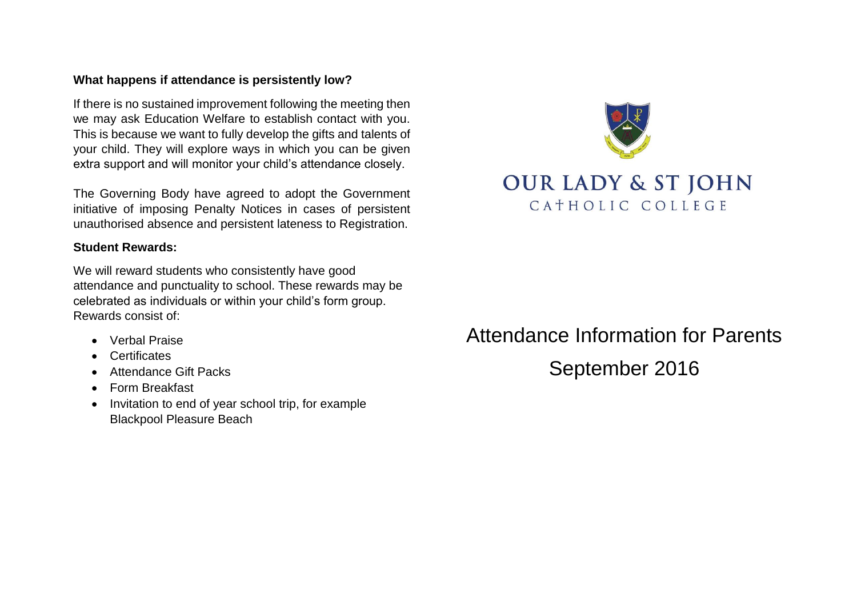# **What happens if attendance is persistently low?**

If there is no sustained improvement following the meeting then we may ask Education Welfare to establish contact with you. This is because we want to fully develop the gifts and talents of your child. They will explore ways in which you can be given extra support and will monitor your child's attendance closely.

The Governing Body have agreed to adopt the Government initiative of imposing Penalty Notices in cases of persistent unauthorised absence and persistent lateness to Registration.

# **Student Rewards:**

We will reward students who consistently have good attendance and punctuality to school. These rewards may be celebrated as individuals or within your child's form group. Rewards consist of:

- Verbal Praise
- Certificates
- Attendance Gift Packs
- Form Breakfast
- Invitation to end of year school trip, for example Blackpool Pleasure Beach



# Attendance Information for Parents September 2016